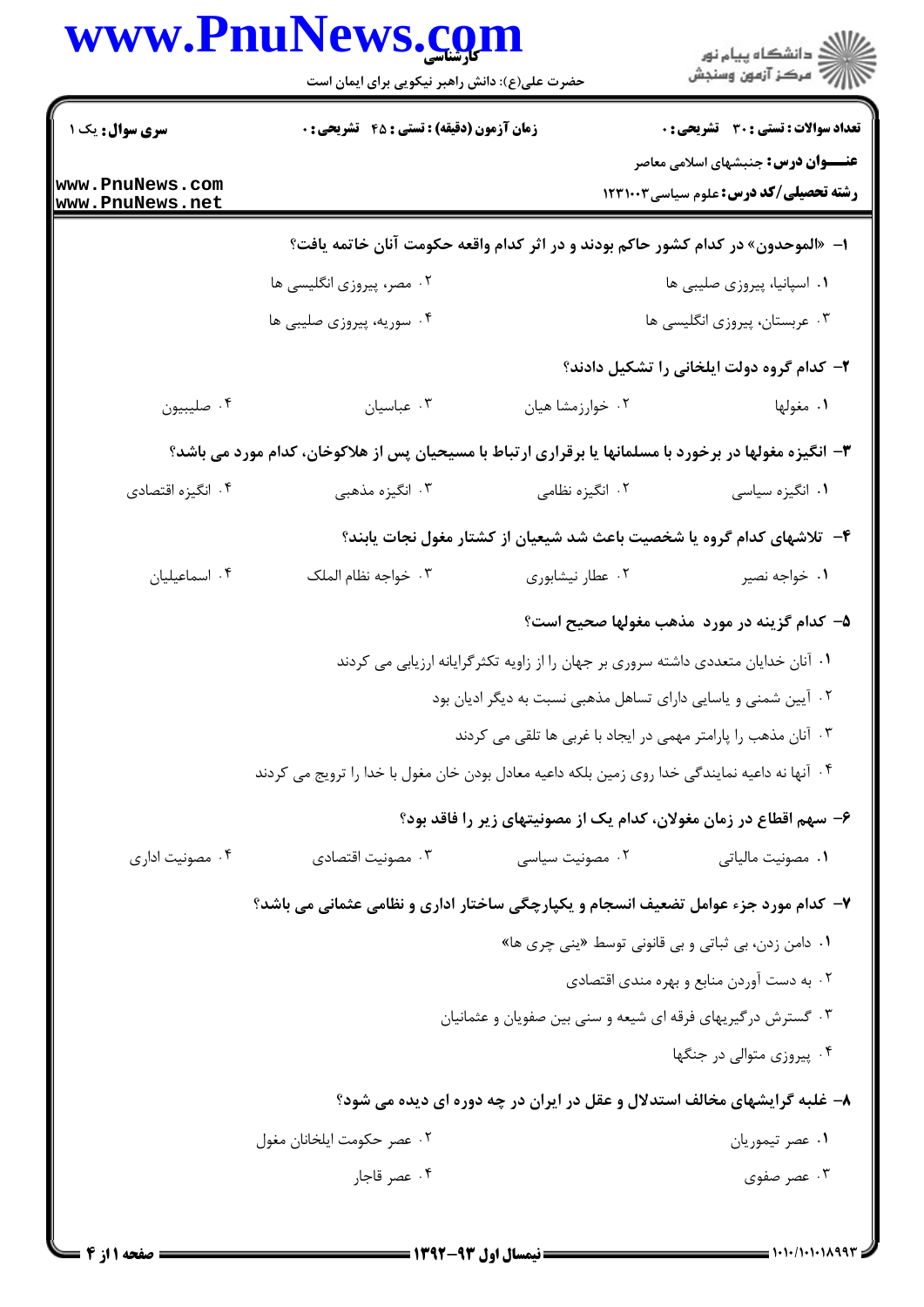|                                           | www.PnuNews.com<br>حضرت علی(ع): دانش راهبر نیکویی برای ایمان است                                       |                  | ڪ دانشڪاه پيام نور<br>//> مرڪز آزمون وسنجش                                                |  |  |
|-------------------------------------------|--------------------------------------------------------------------------------------------------------|------------------|-------------------------------------------------------------------------------------------|--|--|
| <b>سری سوال :</b> یک ۱<br>www.PnuNews.com | زمان آزمون (دقیقه) : تستی : 45 آتشریحی : 0                                                             |                  | <b>تعداد سوالات : تستی : 30 ٪ تشریحی : 0</b><br><b>عنـــوان درس:</b> جنبشهای اسلامی معاصر |  |  |
| www.PnuNews.net                           |                                                                                                        |                  | <b>رشته تحصیلی/کد درس:</b> علوم سیاسی ۱۲۳۱۰۰۳                                             |  |  |
|                                           |                                                                                                        |                  | ا– «الموحدون» در کدام کشور حاکم بودند و در اثر کدام واقعه حکومت آنان خاتمه یافت؟          |  |  |
|                                           | ۰۲ مصر، پیروزی انگلیسی ها                                                                              |                  | ٠١ اسپانيا، پيروزي صليبي ها                                                               |  |  |
|                                           | ۰۴ سوریه، پیروزی صلیبی ها                                                                              |                  | ۰۳ عربستان، پیروزی انگلیسی ها                                                             |  |  |
|                                           |                                                                                                        |                  | ۲- کدام گروه دولت ایلخانی را تشکیل دادند؟                                                 |  |  |
| ۰۴ صليبيون                                | ۰۳ عباسیان                                                                                             | ۰۲ خوارزمشا هيان | ۰۱ مغولها                                                                                 |  |  |
|                                           | ۳- انگیزه مغولها در برخورد با مسلمانها یا برقراری ارتباط با مسیحیان پس از هلاکوخان، کدام مورد می باشد؟ |                  |                                                                                           |  |  |
| ۰۴ انگیزه اقتصادی                         | ۰۳ انگیزه مذهبی                                                                                        | ۰۲ انگیزه نظامی  | ٠١. انگيزه سياسي                                                                          |  |  |
|                                           |                                                                                                        |                  | ۴– تلاشهای کدام گروه یا شخصیت باعث شد شیعیان از کشتار مغول نجات یابند؟                    |  |  |
| ۰۴ اسماعیلیان                             | ۰۳ خواجه نظام الملک                                                                                    | ٠٢ عطار نيشابوري | ۰۱ خواجه نصير                                                                             |  |  |
|                                           |                                                                                                        |                  | ۵– کدام گزینه در مورد مذهب مغولها صحیح است؟                                               |  |  |
|                                           | ۰۱ آنان خدایان متعددی داشته سروری بر جهان را از زاویه تکثر گرایانه ارزیابی می کردند                    |                  |                                                                                           |  |  |
|                                           | ۰۲ آیین شمنی و یاسایی دارای تساهل مذهبی نسبت به دیگر ادیان بود                                         |                  |                                                                                           |  |  |
|                                           | ۰۳ آنان مذهب را پارامتر مهمی در ایجاد با غربی ها تلقی می کردند                                         |                  |                                                                                           |  |  |
|                                           | ۰۴ آنها نه داعیه نمایندگی خدا روی زمین بلکه داعیه معادل بودن خان مغول با خدا را ترویج می کردند         |                  |                                                                                           |  |  |
|                                           |                                                                                                        |                  | ۶– سهم اقطاع در زمان مغولان، کدام یک از مصونیتهای زیر را فاقد بود؟                        |  |  |
| ۰۴ مصونیت اداری                           | ۰۳ مصونیت اقتصادی                                                                                      | ۰۲ مصونیت سیاسی  | ۰۱ مصونیت مالیاتی                                                                         |  |  |
|                                           | ۷- کدام مورد جزء عوامل تضعیف انسجام و یکپارچگی ساختار اداری و نظامی عثمانی می باشد؟                    |                  |                                                                                           |  |  |
|                                           |                                                                                                        |                  | ۰۱ دامن زدن، بي ثباتي و بي قانوني توسط «يني چري ها»                                       |  |  |
|                                           | ۰۲ به دست آوردن منابع و بهره مندی اقتصادی                                                              |                  |                                                                                           |  |  |
|                                           |                                                                                                        |                  | ۰۳ گسترش درگیریهای فرقه ای شیعه و سنی بین صفویان و عثمانیان                               |  |  |
|                                           |                                                                                                        |                  | ۰۴ پیروزی متوالی در جنگها                                                                 |  |  |
|                                           |                                                                                                        |                  | ۸– غلبه گرایشهای مخالف استدلال و عقل در ایران در چه دوره ای دیده می شود؟                  |  |  |
|                                           | ٠٢ عصر حكومت ايلخانان مغول                                                                             |                  | ۰۱ عصر تیموریان                                                                           |  |  |
|                                           | ۰۴ عصر قاجار                                                                                           |                  | ۰۳ عصر صفوی                                                                               |  |  |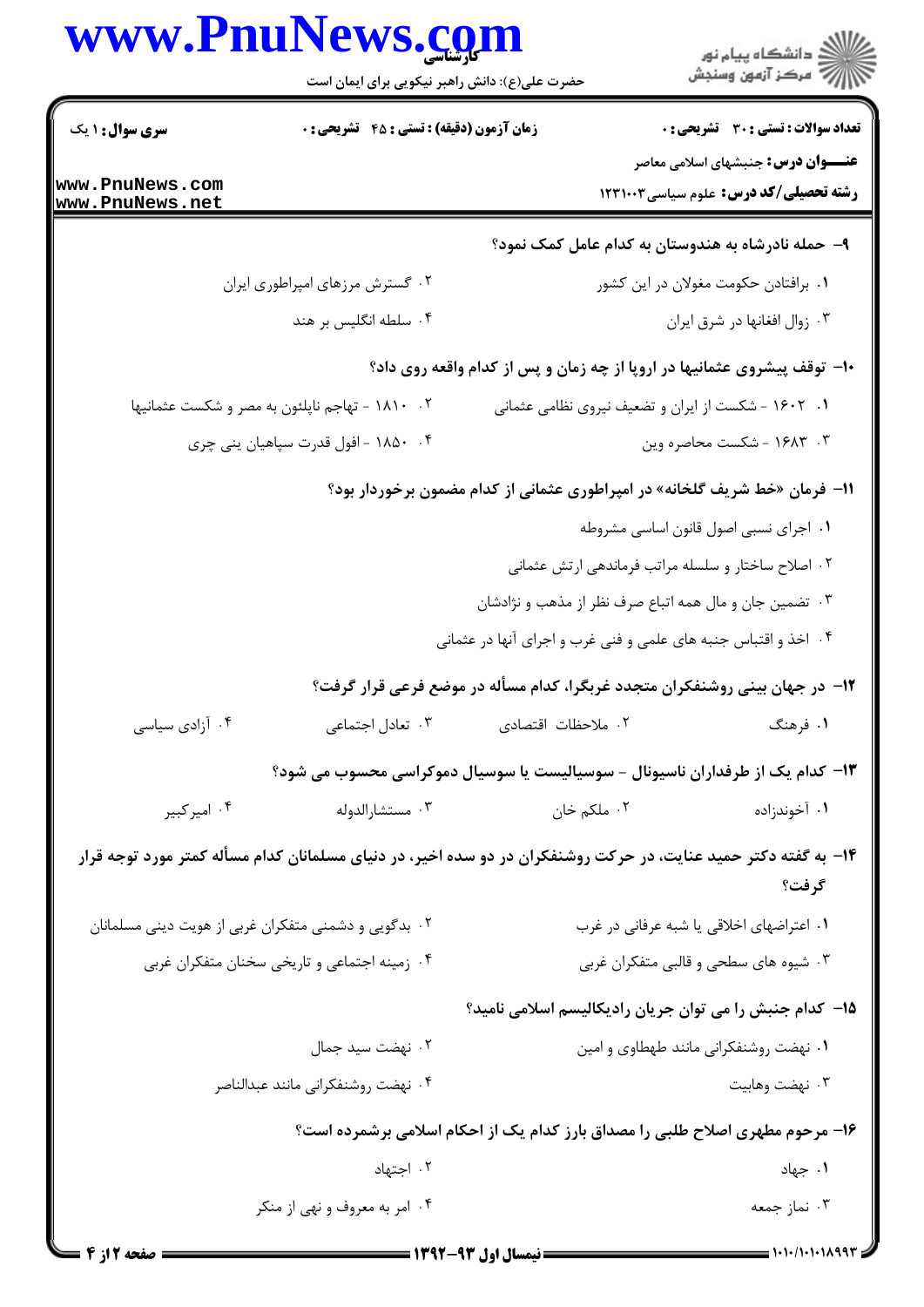|                                                      | www.PnuNews.com<br>حضرت علی(ع): دانش راهبر نیکویی برای ایمان است |                                          | ڪ دانشڪاه پيا <sub>م</sub> نور<br>ر <i>7</i> مرڪز آزمون وسنڊش                                                            |  |
|------------------------------------------------------|------------------------------------------------------------------|------------------------------------------|--------------------------------------------------------------------------------------------------------------------------|--|
| <b>سری سوال : ۱ یک</b>                               | زمان آزمون (دقیقه) : تستی : 45 آتشریحی : 0                       |                                          | <b>تعداد سوالات : تستی : 30 ٪ تشریحی : 0</b>                                                                             |  |
| www.PnuNews.com<br>www.PnuNews.net                   |                                                                  |                                          | <b>عنــــوان درس:</b> جنبشهای اسلامی معاصر<br>رشته تحصیلی/کد درس: علوم سیاسی۱۲۳۱۰۰۳                                      |  |
|                                                      |                                                                  |                                          | ۹– حمله نادرشاه به هندوستان به کدام عامل کمک نمود؟                                                                       |  |
|                                                      | ۰۲ گسترش مرزهای امپراطوری ایران                                  |                                          | ۰۱ برافتادن حکومت مغولان در این کشور                                                                                     |  |
|                                                      | ۰۴ سلطه انگلیس بر هند                                            |                                          | ۰۳ زوال افغانها در شرق ايران                                                                                             |  |
|                                                      |                                                                  |                                          | ۱۰− توقف پیشروی عثمانیها در اروپا از چه زمان و پس از کدام واقعه روی داد؟                                                 |  |
|                                                      | ۰۲ - ۱۸۱۰ - تهاجم ناپلئون به مصر و شکست عثمانیها                 |                                          | ۰۱ - ۱۶۰۲ - شکست از ایران و تضعیف نیروی نظامی عثمانی                                                                     |  |
|                                                      | ۰۴ ۱۸۵۰ - افول قدرت سپاهیان پنی چری                              |                                          | ۰۳ . ۱۶۸۳ - شکست محاصره وین                                                                                              |  |
|                                                      |                                                                  |                                          | 11– فرمان «خط شریف گلخانه» در امپراطوری عثمانی از کدام مضمون برخوردار بود؟                                               |  |
|                                                      |                                                                  |                                          | ٠١ اجراى نسبى اصول قانون اساسى مشروطه                                                                                    |  |
|                                                      |                                                                  |                                          | ۰۲ اصلاح ساختار و سلسله مراتب فرماندهی ارتش عثمانی                                                                       |  |
|                                                      |                                                                  |                                          | ۰۳ تضمین جان و مال همه اتباع صرف نظر از مذهب و نژادشان                                                                   |  |
|                                                      |                                                                  |                                          | ۰۴ اخذ و اقتباس جنبه های علمی و فنی غرب و اجرای آنها در عثمانی                                                           |  |
|                                                      |                                                                  |                                          | ۱۲– در جهان بینی روشنفکران متجدد غربگرا، کدام مسأله در موضع فرعی قرار گرفت؟                                              |  |
| ۰۴ آزادی سیاسی                                       | ۰۳ تعادل اجتماعی                                                 | ٠٢ ملاحظات اقتصادى                       | ۱. فرهنگ                                                                                                                 |  |
|                                                      |                                                                  |                                          | ۱۳– کدام یک از طرفداران ناسیونال - سوسیالیست یا سوسیال دموکراسی محسوب می شود؟                                            |  |
| ۰۴ امیر کبیر                                         | ۰۳ مستشارالدوله                                                  | ۰۲ ملکم خان                              | ۰۱ آخوندزاده                                                                                                             |  |
|                                                      |                                                                  |                                          | ۱۴– به گفته دکتر حمید عنایت، در حرکت روشنفکران در دو سده اخیر، در دنیای مسلمانان کدام مسأله کمتر مورد توجه قرار<br>گرفت؟ |  |
| ۰۲ بدگویی و دشمنی متفکران غربی از هویت دینی مسلمانان |                                                                  | ٠١ اعتراضهاي اخلاقي يا شبه عرفاني در غرب |                                                                                                                          |  |
| ۰۴ زمینه اجتماعی و تاریخی سخنان متفکران غربی         |                                                                  | ۰۳ شیوه های سطحی و قالبی متفکران غربی    |                                                                                                                          |  |
|                                                      |                                                                  |                                          | ۱۵– کدام جنبش را می توان جریان رادیکالیسم اسلامی نامید؟                                                                  |  |
|                                                      | ۰۲ نهضت سید جمال                                                 |                                          | ٠١ نهضت روشنفكراني مانند طهطاوي وامين                                                                                    |  |
|                                                      | ۰۴ نهضت روشنفكراني مانند عبدالناصر                               |                                          | ۰۳ نهضت وهابيت                                                                                                           |  |
|                                                      |                                                                  |                                          | ۱۶- مرحوم مطهری اصلاح طلبی را مصداق بارز کدام یک از احکام اسلامی برشمرده است؟                                            |  |
|                                                      | ۰۲ اجتهاد                                                        |                                          | ۰۱ جهاد                                                                                                                  |  |
|                                                      | ۰۴ امر به معروف و نهی از منکر                                    |                                          | ۰۳ نماز جمعه                                                                                                             |  |
|                                                      |                                                                  |                                          |                                                                                                                          |  |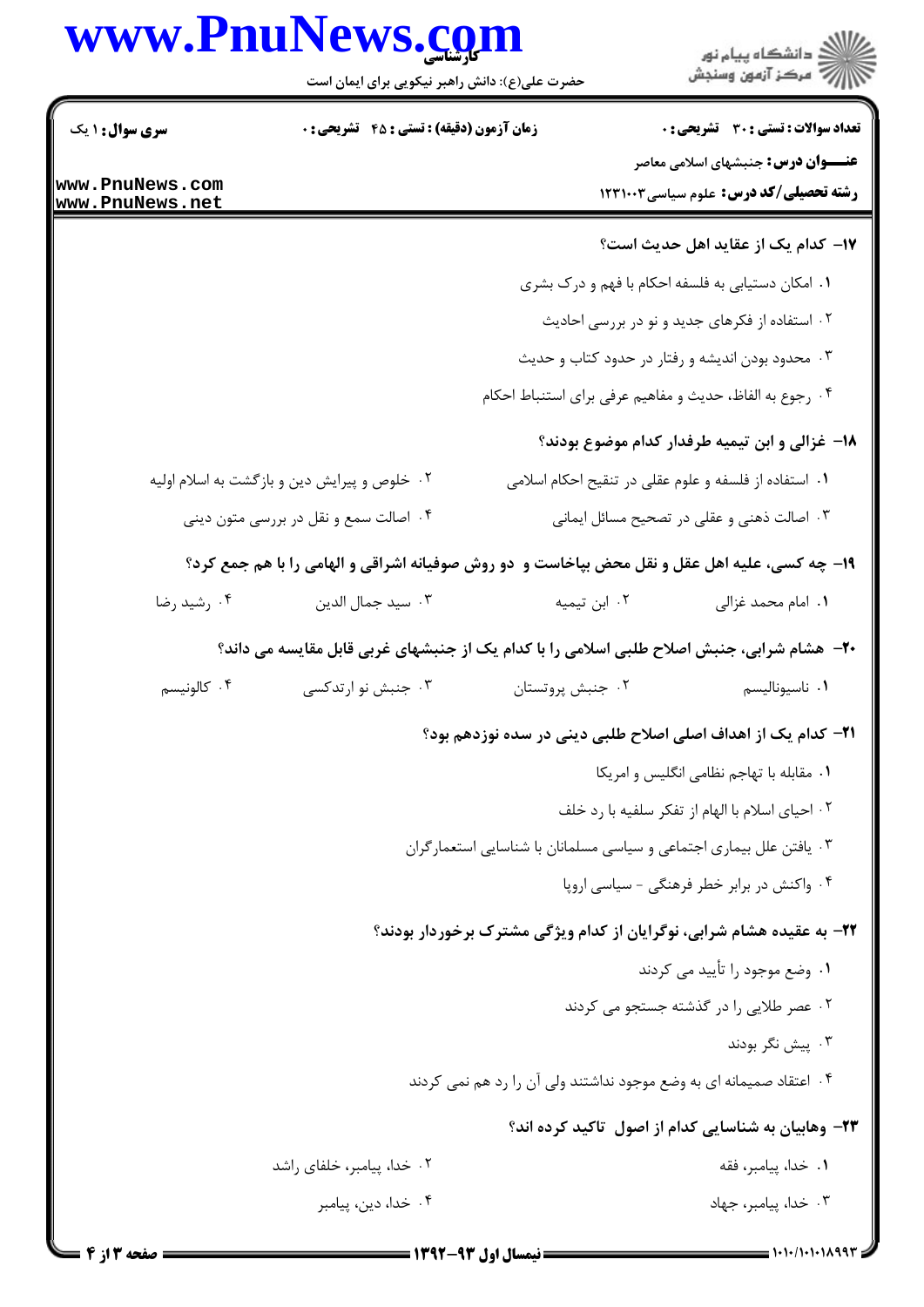## www.PnuNews.com